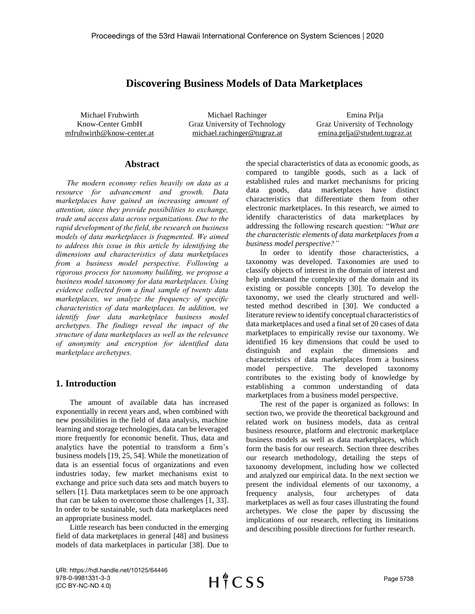# **Discovering Business Models of Data Marketplaces**

Michael Fruhwirth Know-Center GmbH mfruhwirth@know-center.at

Michael Rachinger Graz University of Technology michael.rachinger@tugraz.at

Emina Prlja Graz University of Technology emina.prlja@student.tugraz.at

#### **Abstract**

*The modern economy relies heavily on data as a resource for advancement and growth. Data marketplaces have gained an increasing amount of attention, since they provide possibilities to exchange, trade and access data across organizations. Due to the rapid development of the field, the research on business models of data marketplaces is fragmented. We aimed to address this issue in this article by identifying the dimensions and characteristics of data marketplaces from a business model perspective. Following a rigorous process for taxonomy building, we propose a business model taxonomy for data marketplaces. Using evidence collected from a final sample of twenty data marketplaces, we analyze the frequency of specific characteristics of data marketplaces. In addition, we identify four data marketplace business model archetypes. The findings reveal the impact of the structure of data marketplaces as well as the relevance of anonymity and encryption for identified data marketplace archetypes.*

### **1. Introduction**

The amount of available data has increased exponentially in recent years and, when combined with new possibilities in the field of data analysis, machine learning and storage technologies, data can be leveraged more frequently for economic benefit. Thus, data and analytics have the potential to transform a firm's business models [19, 25, 54]. While the monetization of data is an essential focus of organizations and even industries today, few market mechanisms exist to exchange and price such data sets and match buyers to sellers [1]. Data marketplaces seem to be one approach that can be taken to overcome those challenges [1, 33]. In order to be sustainable, such data marketplaces need an appropriate business model.

Little research has been conducted in the emerging field of data marketplaces in general [48] and business models of data marketplaces in particular [38]. Due to

the special characteristics of data as economic goods, as compared to tangible goods, such as a lack of established rules and market mechanisms for pricing data goods, data marketplaces have distinct characteristics that differentiate them from other electronic marketplaces. In this research, we aimed to identify characteristics of data marketplaces by addressing the following research question: "*What are the characteristic elements of data marketplaces from a business model perspective?"*

In order to identify those characteristics, a taxonomy was developed. Taxonomies are used to classify objects of interest in the domain of interest and help understand the complexity of the domain and its existing or possible concepts [30]. To develop the taxonomy, we used the clearly structured and welltested method described in [30]. We conducted a literature review to identify conceptual characteristics of data marketplaces and used a final set of 20 cases of data marketplaces to empirically revise our taxonomy. We identified 16 key dimensions that could be used to distinguish and explain the dimensions and characteristics of data marketplaces from a business model perspective. The developed taxonomy contributes to the existing body of knowledge by establishing a common understanding of data marketplaces from a business model perspective.

The rest of the paper is organized as follows: In section two, we provide the theoretical background and related work on business models, data as central business resource, platform and electronic marketplace business models as well as data marketplaces, which form the basis for our research. Section three describes our research methodology, detailing the steps of taxonomy development, including how we collected and analyzed our empirical data. In the next section we present the individual elements of our taxonomy, a frequency analysis, four archetypes of data marketplaces as well as four cases illustrating the found archetypes. We close the paper by discussing the implications of our research, reflecting its limitations and describing possible directions for further research.

URI: https://hdl.handle.net/10125/64446 978-0-9981331-3-3 (CC BY-NC-ND 4.0)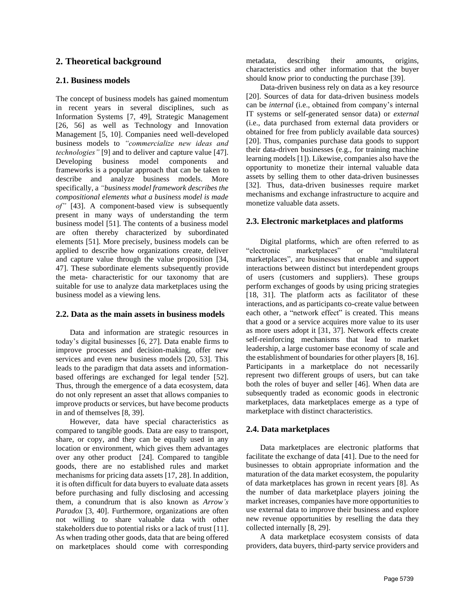## **2. Theoretical background**

### **2.1. Business models**

The concept of business models has gained momentum in recent years in several disciplines, such as Information Systems [7, 49], Strategic Management [26, 56] as well as Technology and Innovation Management [5, 10]. Companies need well-developed business models to *"commercialize new ideas and technologies"* [9] and to deliver and capture value [47]. Developing business model components and frameworks is a popular approach that can be taken to describe and analyze business models. More specifically, a *"business model framework describes the compositional elements what a business model is made of"* [43]. A component-based view is subsequently present in many ways of understanding the term business model [51]. The contents of a business model are often thereby characterized by subordinated elements [51]. More precisely, business models can be applied to describe how organizations create, deliver and capture value through the value proposition [34, 47]. These subordinate elements subsequently provide the meta- characteristic for our taxonomy that are suitable for use to analyze data marketplaces using the business model as a viewing lens.

#### **2.2. Data as the main assets in business models**

Data and information are strategic resources in today's digital businesses [6, 27]. Data enable firms to improve processes and decision-making, offer new services and even new business models [20, 53]. This leads to the paradigm that data assets and informationbased offerings are exchanged for legal tender [52]. Thus, through the emergence of a data ecosystem, data do not only represent an asset that allows companies to improve products or services, but have become products in and of themselves [8, 39].

However, data have special characteristics as compared to tangible goods. Data are easy to transport, share, or copy, and they can be equally used in any location or environment, which gives them advantages over any other product [24]. Compared to tangible goods, there are no established rules and market mechanisms for pricing data assets [17, 28]. In addition, it is often difficult for data buyers to evaluate data assets before purchasing and fully disclosing and accessing them, a conundrum that is also known as *Arrow's Paradox* [3, 40]. Furthermore, organizations are often not willing to share valuable data with other stakeholders due to potential risks or a lack of trust [11]. As when trading other goods, data that are being offered on marketplaces should come with corresponding metadata, describing their amounts, origins, characteristics and other information that the buyer should know prior to conducting the purchase [39].

Data-driven business rely on data as a key resource [20]. Sources of data for data-driven business models can be *internal* (i.e., obtained from company's internal IT systems or self-generated sensor data) or *external* (i.e., data purchased from external data providers or obtained for free from publicly available data sources) [20]. Thus, companies purchase data goods to support their data-driven businesses (e.g., for training machine learning models [1]). Likewise, companies also have the opportunity to monetize their internal valuable data assets by selling them to other data-driven businesses [32]. Thus, data-driven businesses require market mechanisms and exchange infrastructure to acquire and monetize valuable data assets.

### **2.3. Electronic marketplaces and platforms**

Digital platforms, which are often referred to as "electronic marketplaces" or "multilateral marketplaces", are businesses that enable and support interactions between distinct but interdependent groups of users (customers and suppliers). These groups perform exchanges of goods by using pricing strategies [18, 31]. The platform acts as facilitator of these interactions, and as participants co-create value between each other, a "network effect" is created. This means that a good or a service acquires more value to its user as more users adopt it [31, 37]. Network effects create self-reinforcing mechanisms that lead to market leadership, a large customer base economy of scale and the establishment of boundaries for other players [8, 16]. Participants in a marketplace do not necessarily represent two different groups of users, but can take both the roles of buyer and seller [46]. When data are subsequently traded as economic goods in electronic marketplaces, data marketplaces emerge as a type of marketplace with distinct characteristics.

### **2.4. Data marketplaces**

Data marketplaces are electronic platforms that facilitate the exchange of data [41]. Due to the need for businesses to obtain appropriate information and the maturation of the data market ecosystem, the popularity of data marketplaces has grown in recent years [8]. As the number of data marketplace players joining the market increases, companies have more opportunities to use external data to improve their business and explore new revenue opportunities by reselling the data they collected internally [8, 29].

A data marketplace ecosystem consists of data providers, data buyers, third-party service providers and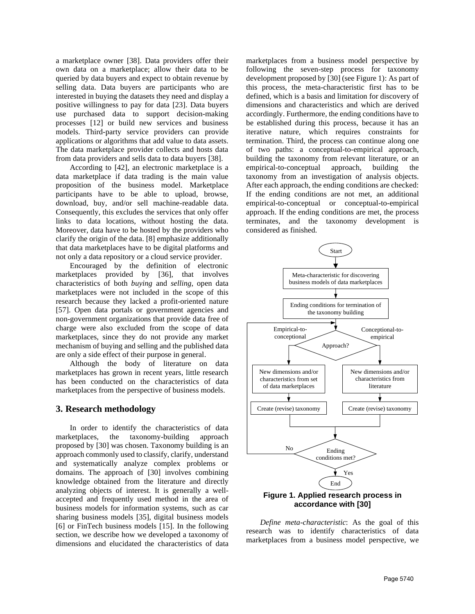a marketplace owner [38]. Data providers offer their own data on a marketplace; allow their data to be queried by data buyers and expect to obtain revenue by selling data. Data buyers are participants who are interested in buying the datasets they need and display a positive willingness to pay for data [23]. Data buyers use purchased data to support decision-making processes [12] or build new services and business models. Third-party service providers can provide applications or algorithms that add value to data assets. The data marketplace provider collects and hosts data from data providers and sells data to data buyers [38].

According to [42], an electronic marketplace is a data marketplace if data trading is the main value proposition of the business model. Marketplace participants have to be able to upload, browse, download, buy, and/or sell machine-readable data. Consequently, this excludes the services that only offer links to data locations, without hosting the data. Moreover, data have to be hosted by the providers who clarify the origin of the data. [8] emphasize additionally that data marketplaces have to be digital platforms and not only a data repository or a cloud service provider.

Encouraged by the definition of electronic marketplaces provided by [36], that involves characteristics of both *buying* and *selling*, open data marketplaces were not included in the scope of this research because they lacked a profit-oriented nature [57]. Open data portals or government agencies and non-government organizations that provide data free of charge were also excluded from the scope of data marketplaces, since they do not provide any market mechanism of buying and selling and the published data are only a side effect of their purpose in general.

Although the body of literature on data marketplaces has grown in recent years, little research has been conducted on the characteristics of data marketplaces from the perspective of business models.

#### **3. Research methodology**

In order to identify the characteristics of data marketplaces, the taxonomy-building approach proposed by [30] was chosen. Taxonomy building is an approach commonly used to classify, clarify, understand and systematically analyze complex problems or domains. The approach of [30] involves combining knowledge obtained from the literature and directly analyzing objects of interest. It is generally a wellaccepted and frequently used method in the area of business models for information systems, such as car sharing business models [35], digital business models [6] or FinTech business models [15]. In the following section, we describe how we developed a taxonomy of dimensions and elucidated the characteristics of data marketplaces from a business model perspective by following the seven-step process for taxonomy development proposed by [30] (see Figure 1): As part of this process, the meta-characteristic first has to be defined, which is a basis and limitation for discovery of dimensions and characteristics and which are derived accordingly. Furthermore, the ending conditions have to be established during this process, because it has an iterative nature, which requires constraints for termination. Third, the process can continue along one of two paths: a conceptual-to-empirical approach, building the taxonomy from relevant literature, or an empirical-to-conceptual approach, building the taxonomy from an investigation of analysis objects. After each approach, the ending conditions are checked: If the ending conditions are not met, an additional empirical-to-conceptual or conceptual-to-empirical approach. If the ending conditions are met, the process terminates, and the taxonomy development is considered as finished.



*Define meta-characteristic*: As the goal of this research was to identify characteristics of data marketplaces from a business model perspective, we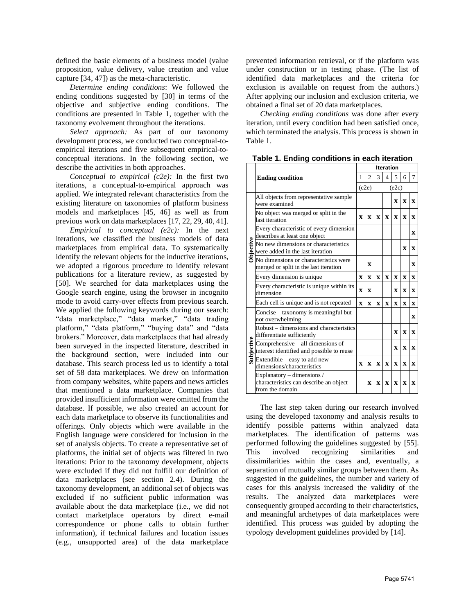defined the basic elements of a business model (value proposition, value delivery, value creation and value capture [34, 47]) as the meta-characteristic.

*Determine ending conditions*: We followed the ending conditions suggested by [30] in terms of the objective and subjective ending conditions. The conditions are presented in Table 1, together with the taxonomy evolvement throughout the iterations.

*Select approach:* As part of our taxonomy development process, we conducted two conceptual-toempirical iterations and five subsequent empirical-toconceptual iterations. In the following section, we describe the activities in both approaches.

*Conceptual to empirical (c2e):* In the first two iterations, a conceptual-to-empirical approach was applied. We integrated relevant characteristics from the existing literature on taxonomies of platform business models and marketplaces [45, 46] as well as from previous work on data marketplaces [17, 22, 29, 40, 41].

*Empirical to conceptual (e2c):* In the next iterations, we classified the business models of data marketplaces from empirical data. To systematically identify the relevant objects for the inductive iterations, we adopted a rigorous procedure to identify relevant publications for a literature review, as suggested by [50]. We searched for data marketplaces using the Google search engine, using the browser in incognito mode to avoid carry-over effects from previous search. We applied the following keywords during our search: "data marketplace," "data market," "data trading platform," "data platform," "buying data" and "data brokers." Moreover, data marketplaces that had already been surveyed in the inspected literature, described in the background section, were included into our database. This search process led us to identify a total set of 58 data marketplaces. We drew on information from company websites, white papers and news articles that mentioned a data marketplace. Companies that provided insufficient information were omitted from the database. If possible, we also created an account for each data marketplace to observe its functionalities and offerings. Only objects which were available in the English language were considered for inclusion in the set of analysis objects. To create a representative set of platforms, the initial set of objects was filtered in two iterations: Prior to the taxonomy development, objects were excluded if they did not fulfill our definition of data marketplaces (see section 2.4). During the taxonomy development, an additional set of objects was excluded if no sufficient public information was available about the data marketplace (i.e., we did not contact marketplace operators by direct e-mail correspondence or phone calls to obtain further information), if technical failures and location issues (e.g., unsupported area) of the data marketplace

prevented information retrieval, or if the platform was under construction or in testing phase. (The list of identified data marketplaces and the criteria for exclusion is available on request from the authors.) After applying our inclusion and exclusion criteria, we obtained a final set of 20 data marketplaces.

*Checking ending conditions* was done after every iteration, until every condition had been satisfied once, which terminated the analysis. This process is shown in Table 1.

|                  |                                                                                         |                     |              | <b>Iteration</b> |              |              |              |              |  |  |  |
|------------------|-----------------------------------------------------------------------------------------|---------------------|--------------|------------------|--------------|--------------|--------------|--------------|--|--|--|
|                  | <b>Ending condition</b>                                                                 | $\mathfrak{D}$<br>1 |              | 3                | $\Delta$     | 5            | 6            | 7            |  |  |  |
|                  |                                                                                         | (c2e)               |              | (e2c)            |              |              |              |              |  |  |  |
|                  | All objects from representative sample<br>were examined                                 |                     |              |                  |              | $\mathbf{x}$ | $\mathbf{x}$ | $\mathbf{x}$ |  |  |  |
| <b>Objective</b> | No object was merged or split in the<br>last iteration                                  | $\mathbf{x}$        | $\mathbf{x}$ | $\mathbf x$      | $\mathbf{x}$ | $\mathbf{x}$ | $\mathbf{x}$ | $\mathbf{x}$ |  |  |  |
|                  | Every characteristic of every dimension<br>describes at least one object                |                     |              |                  |              |              |              | $\mathbf x$  |  |  |  |
|                  | No new dimensions or characteristics<br>were added in the last iteration                |                     |              |                  |              |              | $\mathbf{x}$ | $\mathbf{x}$ |  |  |  |
|                  | No dimensions or characteristics were<br>merged or split in the last iteration          |                     | $\mathbf{x}$ |                  |              |              |              | $\mathbf x$  |  |  |  |
|                  | Every dimension is unique                                                               | $\mathbf{x}$        | X            | $\mathbf{x}$     | $\mathbf x$  | $\mathbf{x}$ | $\mathbf{x}$ | $\mathbf x$  |  |  |  |
|                  | Every characteristic is unique within its<br>dimension                                  | $\mathbf x$         | $\mathbf x$  |                  |              | $\mathbf x$  | $\mathbf x$  | $\mathbf{x}$ |  |  |  |
|                  | Each cell is unique and is not repeated                                                 | $\mathbf x$         | $\mathbf x$  | $\mathbf{x}$     | $\mathbf{x}$ | $\mathbf{x}$ | $\mathbf x$  | $\mathbf{x}$ |  |  |  |
| Subjective       | Concise – taxonomy is meaningful but<br>not overwhelming                                |                     |              |                  |              |              |              | $\mathbf{x}$ |  |  |  |
|                  | Robust – dimensions and characteristics<br>differentiate sufficiently                   |                     |              |                  |              | $\mathbf{x}$ | $\mathbf{x}$ | $\mathbf{x}$ |  |  |  |
|                  | Comprehensive - all dimensions of<br>interest identified and possible to reuse          |                     |              |                  |              | $\mathbf x$  | $\mathbf x$  | $\mathbf{x}$ |  |  |  |
|                  | Extendible – easy to add new<br>dimensions/characteristics                              | $\mathbf x$         | $\mathbf{x}$ | $\mathbf{x}$     | $\mathbf x$  | $\mathbf{x}$ | $\mathbf x$  | $\mathbf{x}$ |  |  |  |
|                  | Explanatory - dimensions /<br>characteristics can describe an object<br>from the domain |                     | $\mathbf x$  | $\mathbf X$      | $\mathbf x$  | $\mathbf{x}$ | $\mathbf{x}$ | $\mathbf{x}$ |  |  |  |

**Table 1. Ending conditions in each iteration**

The last step taken during our research involved using the developed taxonomy and analysis results to identify possible patterns within analyzed data marketplaces. The identification of patterns was performed following the guidelines suggested by [55].<br>This involved recognizing similarities and This involved recognizing similarities and dissimilarities within the cases and, eventually, a separation of mutually similar groups between them. As suggested in the guidelines, the number and variety of cases for this analysis increased the validity of the results. The analyzed data marketplaces were consequently grouped according to their characteristics, and meaningful archetypes of data marketplaces were identified. This process was guided by adopting the typology development guidelines provided by [14].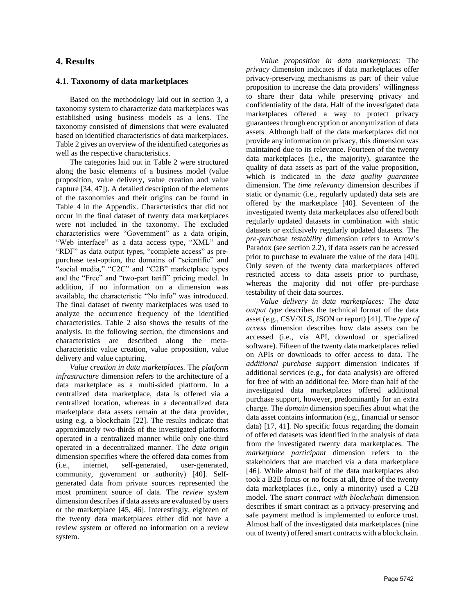### **4. Results**

#### **4.1. Taxonomy of data marketplaces**

Based on the methodology laid out in section 3, a taxonomy system to characterize data marketplaces was established using business models as a lens. The taxonomy consisted of dimensions that were evaluated based on identified characteristics of data marketplaces. Table 2 gives an overview of the identified categories as well as the respective characteristics.

The categories laid out in Table 2 were structured along the basic elements of a business model (value proposition, value delivery, value creation and value capture [34, 47]). A detailed description of the elements of the taxonomies and their origins can be found in Table 4 in the Appendix. Characteristics that did not occur in the final dataset of twenty data marketplaces were not included in the taxonomy. The excluded characteristics were "Government" as a data origin, "Web interface" as a data access type, "XML" and "RDF" as data output types, "complete access" as prepurchase test-option, the domains of "scientific" and "social media," "C2C" and "C2B" marketplace types and the "Free" and "two-part tariff" pricing model. In addition, if no information on a dimension was available, the characteristic "No info" was introduced. The final dataset of twenty marketplaces was used to analyze the occurrence frequency of the identified characteristics. Table 2 also shows the results of the analysis. In the following section, the dimensions and characteristics are described along the metacharacteristic value creation, value proposition, value delivery and value capturing.

*Value creation in data marketplaces.* The *platform infrastructure* dimension refers to the architecture of a data marketplace as a multi-sided platform. In a centralized data marketplace, data is offered via a centralized location, whereas in a decentralized data marketplace data assets remain at the data provider, using e.g. a blockchain [22]. The results indicate that approximately two-thirds of the investigated platforms operated in a centralized manner while only one-third operated in a decentralized manner. The *data origin* dimension specifies where the offered data comes from (i.e., internet, self-generated, user-generated, community, government or authority) [40]. Selfgenerated data from private sources represented the most prominent source of data. The *review system* dimension describes if data assets are evaluated by users or the marketplace [45, 46]. Interestingly, eighteen of the twenty data marketplaces either did not have a review system or offered no information on a review system.

*Value proposition in data marketplaces:* The *privacy* dimension indicates if data marketplaces offer privacy-preserving mechanisms as part of their value proposition to increase the data providers' willingness to share their data while preserving privacy and confidentiality of the data. Half of the investigated data marketplaces offered a way to protect privacy guarantees through encryption or anonymization of data assets. Although half of the data marketplaces did not provide any information on privacy, this dimension was maintained due to its relevance. Fourteen of the twenty data marketplaces (i.e., the majority), guarantee the quality of data assets as part of the value proposition, which is indicated in the *data quality guarantee* dimension. The *time relevancy* dimension describes if static or dynamic (i.e., regularly updated) data sets are offered by the marketplace [40]. Seventeen of the investigated twenty data marketplaces also offered both regularly updated datasets in combination with static datasets or exclusively regularly updated datasets. The *pre-purchase testability* dimension refers to Arrow's Paradox (see section 2.2), if data assets can be accessed prior to purchase to evaluate the value of the data [40]. Only seven of the twenty data marketplaces offered restricted access to data assets prior to purchase, whereas the majority did not offer pre-purchase testability of their data sources.

*Value delivery in data marketplaces:* The *data output type* describes the technical format of the data asset (e.g., CSV/XLS, JSON or report) [41]. The *type of access* dimension describes how data assets can be accessed (i.e., via API, download or specialized software). Fifteen of the twenty data marketplaces relied on APIs or downloads to offer access to data. The *additional purchase support* dimension indicates if additional services (e.g., for data analysis) are offered for free of with an additional fee. More than half of the investigated data marketplaces offered additional purchase support, however, predominantly for an extra charge. The *domain* dimension specifies about what the data asset contains information (e.g., financial or sensor data) [17, 41]. No specific focus regarding the domain of offered datasets was identified in the analysis of data from the investigated twenty data marketplaces. The *marketplace participant* dimension refers to the stakeholders that are matched via a data marketplace [46]. While almost half of the data marketplaces also took a B2B focus or no focus at all, three of the twenty data marketplaces (i.e., only a minority) used a C2B model. The *smart contract with blockchain* dimension describes if smart contract as a privacy-preserving and safe payment method is implemented to enforce trust. Almost half of the investigated data marketplaces (nine out of twenty) offered smart contracts with a blockchain.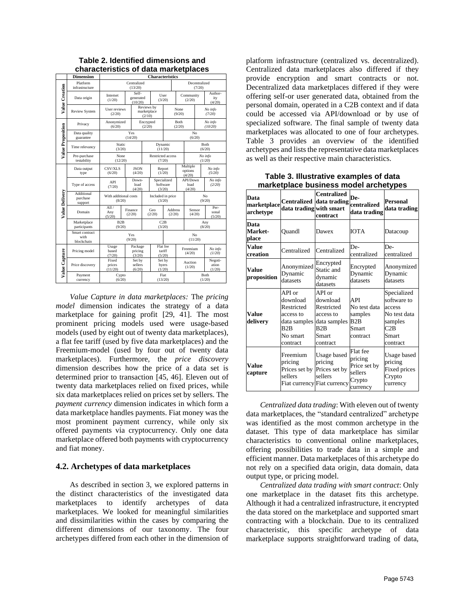|                   | <b>Dimension</b>                     | <b>Characteristics</b>          |                   |                               |                                           |                                     |                |                               |                       |                         |                            |  |
|-------------------|--------------------------------------|---------------------------------|-------------------|-------------------------------|-------------------------------------------|-------------------------------------|----------------|-------------------------------|-----------------------|-------------------------|----------------------------|--|
|                   | Platform<br>infrastructure           | Centralized<br>(13/20)          |                   |                               |                                           |                                     |                | Decentralized<br>(7/20)       |                       |                         |                            |  |
| Value Creation    | Data origin                          | Internet<br>(1/20)              |                   | Self-<br>generated<br>(10/20) |                                           |                                     | User<br>(3/20) |                               | Community<br>(2/20)   |                         | Author-<br>ity<br>(4/20)   |  |
|                   | <b>Review System</b>                 | (2/20)                          | User reviews      |                               |                                           | Reviews by<br>marketplace<br>(2/10) |                | <b>None</b><br>(9/20)         |                       |                         | No info<br>(7/20)          |  |
|                   | Privacy                              | Anonymized<br>(6/20)            |                   |                               |                                           | Encrypted<br>(2/20)                 |                |                               | <b>Both</b><br>(2/20) |                         | No info<br>(10/20)         |  |
| Value Proposition | Data quality<br>guarantee            | Yes<br>(14/20)                  |                   |                               |                                           |                                     |                |                               | No<br>(6/20)          |                         |                            |  |
|                   | Time relevancy                       | Static<br>(3/20)                |                   |                               | Dynamic<br>(11/20)                        |                                     |                | <b>Both</b><br>(6/20)         |                       |                         |                            |  |
|                   | Pre-purchase<br>testability          | None<br>(12/20)                 |                   |                               | Restricted access<br>(7/20)               |                                     |                | No info<br>(1/20)             |                       |                         |                            |  |
|                   | Data output<br>type                  | CSV/XLS<br>(6/20)               |                   | <b>JSON</b><br>(4/20)         | Report<br>(1/20)                          |                                     |                | Multiple<br>options<br>(4/20) |                       |                         | No info<br>(5/20)          |  |
|                   | Type of access                       | API<br>(7/20)                   |                   | Down-<br>load<br>(4/20)       | Specialized<br>Software<br>(3/20)         |                                     |                | API/Down<br>load<br>(4/20)    |                       | No info<br>(2/20)       |                            |  |
| Value Delivery    | Additional<br>purchase<br>support    | With additional costs<br>(8/20) |                   |                               | Included in price<br>(3/20)               |                                     |                |                               | No.<br>(9/20)         |                         |                            |  |
|                   | Domain                               | All/<br>Any<br>(5/20)           | Finance<br>(2/20) |                               | <b>Address</b><br>Geo<br>(2/20)<br>(2/20) |                                     |                | Sensor<br>(4/20)              |                       | Per-<br>sonal<br>(5/20) |                            |  |
|                   | Marketplace<br>participants          | B2B<br>(9/20)                   |                   |                               |                                           | C2B<br>(3/20)                       |                |                               | Any<br>(8/20)         |                         |                            |  |
|                   | Smart contract<br>with<br>blockchain |                                 | Yes<br>(9/20)     |                               |                                           |                                     | No<br>(11/20)  |                               |                       |                         |                            |  |
|                   | Pricing model                        | Usage<br>based<br>(7/20)        |                   | Package<br>pricing<br>(3/20)  |                                           | Flat fee<br>tariff<br>(5/20)        |                | Freemium<br>(4/20)            |                       |                         | No info<br>(1/20)          |  |
| Value Capture     | Price discovery                      | Fixed<br>prices<br>(11/20)      |                   | Set by<br>sellers<br>(6/20)   |                                           | Set by<br>byers<br>(1/20)           |                | Auction<br>(1/20)             |                       |                         | Negoti-<br>ation<br>(1/20) |  |
|                   | Payment<br>currency                  | Cypto<br>(6/20)                 |                   |                               | Fiat<br>(13/20)                           |                                     |                | Both<br>(1/20)                |                       |                         |                            |  |

**Table 2. Identified dimensions and characteristics of data marketplaces**

*Value Capture in data marketplaces:* The *pricing model* dimension indicates the strategy of a data marketplace for gaining profit [29, 41]. The most prominent pricing models used were usage-based models (used by eight out of twenty data marketplaces), a flat fee tariff (used by five data marketplaces) and the Freemium-model (used by four out of twenty data marketplaces). Furthermore, the *price discovery* dimension describes how the price of a data set is determined prior to transaction [45, 46]. Eleven out of twenty data marketplaces relied on fixed prices, while six data marketplaces relied on prices set by sellers. The *payment currency* dimension indicates in which form a data marketplace handles payments. Fiat money was the most prominent payment currency, while only six offered payments via cryptocurrency. Only one data marketplace offered both payments with cryptocurrency and fiat money.

#### **4.2. Archetypes of data marketplaces**

As described in section 3, we explored patterns in the distinct characteristics of the investigated data marketplaces to identify archetypes of data marketplaces. We looked for meaningful similarities and dissimilarities within the cases by comparing the different dimensions of our taxonomy. The four archetypes differed from each other in the dimension of

platform infrastructure (centralized vs. decentralized). Centralized data marketplaces also differed if they provide encryption and smart contracts or not. Decentralized data marketplaces differed if they were offering self-or user generated data, obtained from the personal domain, operated in a C2B context and if data could be accessed via API/download or by use of specialized software. The final sample of twenty data marketplaces was allocated to one of four archetypes. Table 3 provides an overview of the identified archetypes and lists the representative data marketplaces as well as their respective main characteristics.

| <br>.aoooo oao. a. oo. , poo                              |                                                                                              |                                                                                                        |                                                                      |                                                                                             |  |  |  |  |
|-----------------------------------------------------------|----------------------------------------------------------------------------------------------|--------------------------------------------------------------------------------------------------------|----------------------------------------------------------------------|---------------------------------------------------------------------------------------------|--|--|--|--|
| Data<br>marketplace Centralized data trading<br>archetype | data trading with smart                                                                      | <b>Centralized</b><br>contract                                                                         | De-<br>centralized<br>data trading                                   | Personal<br>data trading                                                                    |  |  |  |  |
| Data<br>Market-<br>place                                  | Ouandl                                                                                       | Dawex                                                                                                  | <b>IOTA</b>                                                          | Datacoup                                                                                    |  |  |  |  |
| <b>Value</b><br>creation                                  | Centralized                                                                                  | Centralized                                                                                            | De-<br>centralized                                                   | De-<br>centralized                                                                          |  |  |  |  |
| <b>Value</b><br>proposition                               | Encrypted<br>Anonymized<br>Static and<br>Dynamic<br>dynamic<br>datasets<br>datasets          |                                                                                                        | Encrypted<br>Dynamic<br>datasets                                     | Anonymized<br>Dynamic<br>datasets                                                           |  |  |  |  |
| <b>Value</b><br>delivery                                  | API or<br>download<br>Restricted<br>access to<br>data samples<br>B2B<br>No smart<br>contract | API or<br>download<br>Restricted<br>access to<br>data samples<br>B <sub>2</sub> B<br>Smart<br>contract | API<br>No test data<br>samples<br>B2B<br>Smart<br>contract           | Specialized<br>software to<br>access<br>No test data<br>samples<br>C2B<br>Smart<br>contract |  |  |  |  |
| <b>Value</b><br>capture                                   | Freemium<br>pricing<br>Prices set by<br>sellers                                              | Usage based<br>pricing<br>Prices set by<br>sellers<br>Fiat currency Fiat currency                      | Flat fee<br>pricing<br>Price set by<br>sellers<br>Crypto<br>currency | Usage based<br>pricing<br>Fixed prices<br>Crypto<br>currency                                |  |  |  |  |

**Table 3. Illustrative examples of data marketplace business model archetypes**

*Centralized data trading*: With eleven out of twenty data marketplaces, the "standard centralized" archetype was identified as the most common archetype in the dataset. This type of data marketplace has similar characteristics to conventional online marketplaces, offering possibilities to trade data in a simple and efficient manner. Data marketplaces of this archetype do not rely on a specified data origin, data domain, data output type, or pricing model.

*Centralized data trading with smart contract*: Only one marketplace in the dataset fits this archetype. Although it had a centralized infrastructure, it encrypted the data stored on the marketplace and supported smart contracting with a blockchain. Due to its centralized characteristic, this specific archetype of data marketplace supports straightforward trading of data,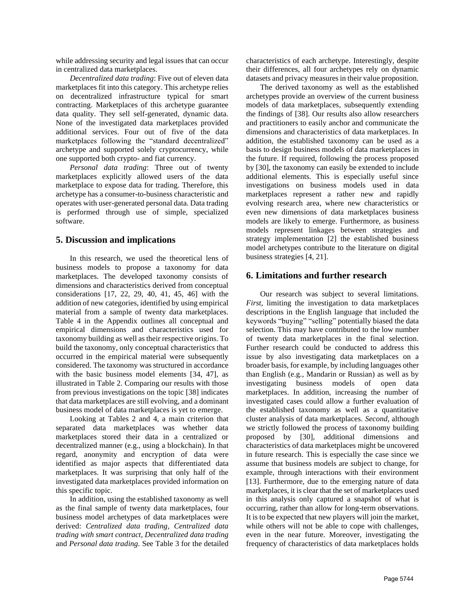while addressing security and legal issues that can occur in centralized data marketplaces.

*Decentralized data trading*: Five out of eleven data marketplaces fit into this category. This archetype relies on decentralized infrastructure typical for smart contracting. Marketplaces of this archetype guarantee data quality. They sell self-generated, dynamic data. None of the investigated data marketplaces provided additional services. Four out of five of the data marketplaces following the "standard decentralized" archetype and supported solely cryptocurrency, while one supported both crypto- and fiat currency.

*Personal data trading*: Three out of twenty marketplaces explicitly allowed users of the data marketplace to expose data for trading. Therefore, this archetype has a consumer-to-business characteristic and operates with user-generated personal data. Data trading is performed through use of simple, specialized software.

#### **5. Discussion and implications**

In this research, we used the theoretical lens of business models to propose a taxonomy for data marketplaces. The developed taxonomy consists of dimensions and characteristics derived from conceptual considerations [17, 22, 29, 40, 41, 45, 46] with the addition of new categories, identified by using empirical material from a sample of twenty data marketplaces. Table 4 in the Appendix outlines all conceptual and empirical dimensions and characteristics used for taxonomy building as well as their respective origins. To build the taxonomy, only conceptual characteristics that occurred in the empirical material were subsequently considered. The taxonomy was structured in accordance with the basic business model elements [34, 47], as illustrated in Table 2. Comparing our results with those from previous investigations on the topic [38] indicates that data marketplaces are still evolving, and a dominant business model of data marketplaces is yet to emerge.

Looking at Tables 2 and 4, a main criterion that separated data marketplaces was whether data marketplaces stored their data in a centralized or decentralized manner (e.g., using a blockchain). In that regard, anonymity and encryption of data were identified as major aspects that differentiated data marketplaces. It was surprising that only half of the investigated data marketplaces provided information on this specific topic.

In addition, using the established taxonomy as well as the final sample of twenty data marketplaces, four business model archetypes of data marketplaces were derived: *Centralized data trading, Centralized data trading with smart contract, Decentralized data trading* and *Personal data trading.* See Table 3 for the detailed characteristics of each archetype. Interestingly, despite their differences, all four archetypes rely on dynamic datasets and privacy measures in their value proposition.

The derived taxonomy as well as the established archetypes provide an overview of the current business models of data marketplaces, subsequently extending the findings of [38]. Our results also allow researchers and practitioners to easily anchor and communicate the dimensions and characteristics of data marketplaces. In addition, the established taxonomy can be used as a basis to design business models of data marketplaces in the future. If required, following the process proposed by [30], the taxonomy can easily be extended to include additional elements. This is especially useful since investigations on business models used in data marketplaces represent a rather new and rapidly evolving research area, where new characteristics or even new dimensions of data marketplaces business models are likely to emerge. Furthermore, as business models represent linkages between strategies and strategy implementation [2] the established business model archetypes contribute to the literature on digital business strategies [4, 21].

## **6. Limitations and further research**

Our research was subject to several limitations. *First*, limiting the investigation to data marketplaces descriptions in the English language that included the keywords "buying" "selling" potentially biased the data selection. This may have contributed to the low number of twenty data marketplaces in the final selection. Further research could be conducted to address this issue by also investigating data marketplaces on a broader basis, for example, by including languages other than English (e.g., Mandarin or Russian) as well as by investigating business models of open data marketplaces. In addition, increasing the number of investigated cases could allow a further evaluation of the established taxonomy as well as a quantitative cluster analysis of data marketplaces. *Second*, although we strictly followed the process of taxonomy building proposed by [30], additional dimensions and characteristics of data marketplaces might be uncovered in future research. This is especially the case since we assume that business models are subject to change, for example, through interactions with their environment [13]. Furthermore, due to the emerging nature of data marketplaces, it is clear that the set of marketplaces used in this analysis only captured a snapshot of what is occurring, rather than allow for long-term observations. It is to be expected that new players will join the market, while others will not be able to cope with challenges, even in the near future. Moreover, investigating the frequency of characteristics of data marketplaces holds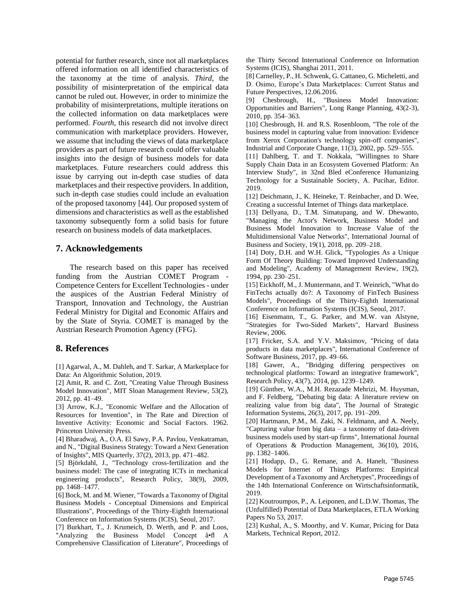potential for further research, since not all marketplaces offered information on all identified characteristics of the taxonomy at the time of analysis. *Third*, the possibility of misinterpretation of the empirical data cannot be ruled out. However, in order to minimize the probability of misinterpretations, multiple iterations on the collected information on data marketplaces were performed. *Fourth*, this research did not involve direct communication with marketplace providers. However, we assume that including the views of data marketplace providers as part of future research could offer valuable insights into the design of business models for data marketplaces. Future researchers could address this issue by carrying out in-depth case studies of data marketplaces and their respective providers. In addition, such in-depth case studies could include an evaluation of the proposed taxonomy [44]. Our proposed system of dimensions and characteristics as well as the established taxonomy subsequently form a solid basis for future research on business models of data marketplaces.

#### **7. Acknowledgements**

The research based on this paper has received funding from the Austrian COMET Program - Competence Centers for Excellent Technologies - under the auspices of the Austrian Federal Ministry of Transport, Innovation and Technology, the Austrian Federal Ministry for Digital and Economic Affairs and by the State of Styria. COMET is managed by the Austrian Research Promotion Agency (FFG).

#### **8. References**

[1] Agarwal, A., M. Dahleh, and T. Sarkar, A Marketplace for Data: An Algorithmic Solution, 2019.

[2] Amit, R. and C. Zott, "Creating Value Through Business Model Innovation", MIT Sloan Management Review, 53(2), 2012, pp. 41–49.

[3] Arrow, K.J., "Economic Welfare and the Allocation of Resources for Invention", in The Rate and Direction of Inventive Activity: Economic and Social Factors. 1962. Princeton University Press.

[4] Bharadwaj, A., O.A. El Sawy, P.A. Pavlou, Venkatraman, and N., "Digital Business Strategy: Toward a Next Generation of Insights", MIS Quarterly, 37(2), 2013, pp. 471–482.

[5] Björkdahl, J., "Technology cross-fertilization and the business model: The case of integrating ICTs in mechanical engineering products", Research Policy, 38(9), 2009, pp. 1468–1477.

[6] Bock, M. and M. Wiener, "Towards a Taxonomy of Digital Business Models - Conceptual Dimensions and Empirical Illustrations", Proceedings of the Thirty-Eighth International Conference on Information Systems (ICIS), Seoul, 2017.

[7] Burkhart, T., J. Krumeich, D. Werth, and P. and Loos, "Analyzing the Business Model Concept â•fl A Comprehensive Classification of Literature", Proceedings of the Thirty Second International Conference on Information Systems (ICIS), Shanghai 2011, 2011.

[8] Carnelley, P., H. Schwenk, G. Cattaneo, G. Micheletti, and D. Osimo, Europe's Data Marketplaces: Current Status and Future Perspectives, 12.06.2016.

[9] Chesbrough, H., "Business Model Innovation: Opportunities and Barriers", Long Range Planning, 43(2-3), 2010, pp. 354–363.

[10] Chesbrough, H. and R.S. Rosenbloom, "The role of the business model in capturing value from innovation: Evidence from Xerox Corporation's technology spin-off companies", Industrial and Corporate Change, 11(3), 2002, pp. 529–555.

[11] Dahlberg, T. and T. Nokkala, "Willingnes to Share Supply Chain Data in an Ecosystem Governed Platform: An Interview Study", in 32nd Bled eConference Humanizing Technology for a Sustainable Society, A. Pucihar, Editor. 2019.

[12] Deichmann, J., K. Heineke, T. Reinbacher, and D. Wee, Creating a successful Internet of Things data marketplace.

[13] Dellyana, D., T.M. Simatupang, and W. Dhewanto, "Managing the Actor's Network, Business Model and Business Model Innovation to Increase Value of the Multidimensional Value Networks", International Journal of Business and Society, 19(1), 2018, pp. 209–218.

[14] Doty, D.H. and W.H. Glick, "Typologies As a Unique Form Of Theory Building: Toward Improved Understanding and Modeling", Academy of Management Review, 19(2), 1994, pp. 230–251.

[15] Eickhoff, M., J. Muntermann, and T. Weinrich, "What do FinTechs actually do?: A Taxonomy of FinTech Business Models", Proceedings of the Thirty-Eighth International Conference on Information Systems (ICIS), Seoul, 2017.

[16] Eisenmann, T., G. Parker, and M.W. van Alstyne, "Strategies for Two-Sided Markets", Harvard Business Review, 2006.

[17] Fricker, S.A. and Y.V. Maksimov, "Pricing of data products in data marketplaces", International Conference of Software Business, 2017, pp. 49–66.

[18] Gawer, A., "Bridging differing perspectives on technological platforms: Toward an integrative framework", Research Policy, 43(7), 2014, pp. 1239–1249.

[19] Günther, W.A., M.H. Rezazade Mehrizi, M. Huysman, and F. Feldberg, "Debating big data: A literature review on realizing value from big data", The Journal of Strategic Information Systems, 26(3), 2017, pp. 191–209.

[20] Hartmann, P.M., M. Zaki, N. Feldmann, and A. Neely, "Capturing value from big data – a taxonomy of data-driven business models used by start-up firms", International Journal of Operations & Production Management, 36(10), 2016, pp. 1382–1406.

[21] Hodapp, D., G. Remane, and A. Hanelt, "Business Models for Internet of Things Platforms: Empirical Development of a Taxonomy and Archetypes", Proceedings of the 14th International Conference on Wirtschaftsinformatik, 2019.

[22] Koutroumpos, P., A. Leiponen, and L.D.W. Thomas, The (Unfulfilled) Potential of Data Marketplaces, ETLA Working Papers No 53, 2017.

[23] Kushal, A., S. Moorthy, and V. Kumar, Pricing for Data Markets, Technical Report, 2012.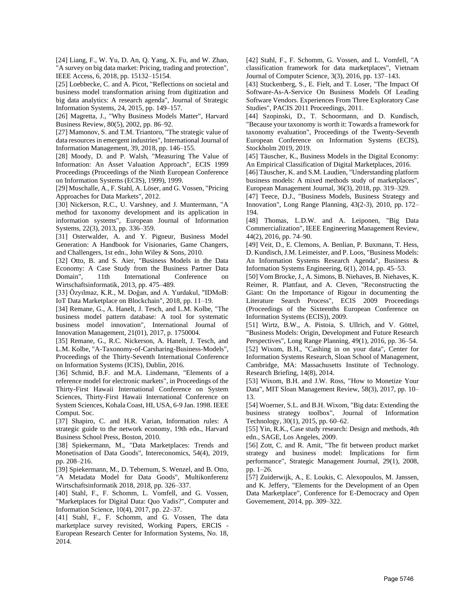[24] Liang, F., W. Yu, D. An, Q. Yang, X. Fu, and W. Zhao, "A survey on big data market: Pricing, trading and protection", IEEE Access, 6, 2018, pp. 15132–15154.

[25] Loebbecke, C. and A. Picot, "Reflections on societal and business model transformation arising from digitization and big data analytics: A research agenda", Journal of Strategic Information Systems, 24, 2015, pp. 149–157.

[26] Magretta, J., "Why Business Models Matter", Harvard Business Review, 80(5), 2002, pp. 86–92.

[27] Mamonov, S. and T.M. Triantoro, "The strategic value of data resources in emergent industries", International Journal of Information Management, 39, 2018, pp. 146–155.

[28] Moody, D. and P. Walsh, "Measuring The Value of Information: An Asset Valuation Approach", ECIS 1999 Proceedings (Proceedings of the Ninth European Conference on Information Systems (ECIS), 1999), 1999.

[29] Muschalle, A., F. Stahl, A. Löser, and G. Vossen, "Pricing Approaches for Data Markets", 2012.

[30] Nickerson, R.C., U. Varshney, and J. Muntermann, "A method for taxonomy development and its application in information systems", European Journal of Information Systems, 22(3), 2013, pp. 336–359.

[31] Osterwalder, A. and Y. Pigneur, Business Model Generation: A Handbook for Visionaries, Game Changers, and Challengers, 1st edn., John Wiley & Sons, 2010.

[32] Otto, B. and S. Aier, "Business Models in the Data Economy: A Case Study from the Business Partner Data Domain", 11th International Conference on Wirtschaftsinformatik, 2013, pp. 475–489.

[33] Özyılmaz, K.R., M. Doğan, and A. Yurdakul, "IDMoB: IoT Data Marketplace on Blockchain", 2018, pp. 11–19.

[34] Remane, G., A. Hanelt, J. Tesch, and L.M. Kolbe, "The business model pattern database: A tool for systematic business model innovation", International Journal of Innovation Management, 21(01), 2017, p. 1750004.

[35] Remane, G., R.C. Nickerson, A. Hanelt, J. Tesch, and L.M. Kolbe, "A-Taxonomy-of-Carsharing-Business-Models", Proceedings of the Thirty-Seventh International Conference on Information Systems (ICIS), Dublin, 2016.

[36] Schmid, B.F. and M.A. Lindemann, "Elements of a reference model for electronic markets", in Proceedings of the Thirty-First Hawaii International Conference on System Sciences, Thirty-First Hawaii International Conference on System Sciences, Kohala Coast, HI, USA, 6-9 Jan. 1998. IEEE Comput. Soc.

[37] Shapiro, C. and H.R. Varian, Information rules: A strategic guide to the network economy, 19th edn., Harvard Business School Press, Boston, 2010.

[38] Spiekermann, M., "Data Marketplaces: Trends and Monetisation of Data Goods", Intereconomics, 54(4), 2019, pp. 208–216.

[39] Spiekermann, M., D. Tebernum, S. Wenzel, and B. Otto, "A Metadata Model for Data Goods", Multikonferenz Wirtschaftsinformatik 2018, 2018, pp. 326–337.

[40] Stahl, F., F. Schomm, L. Vomfell, and G. Vossen, "Marketplaces for Digital Data: Quo Vadis?", Computer and Information Science, 10(4), 2017, pp. 22–37.

[41] Stahl, F., F. Schomm, and G. Vossen, The data marketplace survey revisited, Working Papers, ERCIS - European Research Center for Information Systems, No. 18, 2014.

[42] Stahl, F., F. Schomm, G. Vossen, and L. Vomfell, "A classification framework for data marketplaces", Vietnam Journal of Computer Science, 3(3), 2016, pp. 137–143.

[43] Stuckenberg, S., E. Fielt, and T. Loser, "The Impact Of Software-As-A-Service On Business Models Of Leading Software Vendors. Experiences From Three Exploratory Case Studies", PACIS 2011 Proceedings, 2011.

[44] Szopinski, D., T. Schoormann, and D. Kundisch, "Because your taxonomy is worth it: Towards a framework for taxonomy evaluation", Proceedings of the Twenty-Seventh European Conference on Information Systems (ECIS), Stockholm 2019, 2019.

[45] Täuscher, K., Business Models in the Digital Economy: An Empirical Classification of Digital Marketplaces, 2016.

[46] Täuscher, K. and S.M. Laudien, "Understanding platform business models: A mixed methods study of marketplaces", European Management Journal, 36(3), 2018, pp. 319–329.

[47] Teece, D.J., "Business Models, Business Strategy and Innovation", Long Range Planning, 43(2-3), 2010, pp. 172– 194.

[48] Thomas, L.D.W. and A. Leiponen, "Big Data Commercialization", IEEE Engineering Management Review, 44(2), 2016, pp. 74–90.

[49] Veit, D., E. Clemons, A. Benlian, P. Buxmann, T. Hess, D. Kundisch, J.M. Leimeister, and P. Loos, "Business Models: An Information Systems Research Agenda", Business & Information Systems Engineering, 6(1), 2014, pp. 45–53.

[50] Vom Brocke, J., A. Simons, B. Niehaves, B. Niehaves, K. Reimer, R. Plattfaut, and A. Cleven, "Reconstructing the Giant: On the Importance of Rigour in documenting the Literature Search Process", ECIS 2009 Proceedings (Proceedings of the Sixteenths European Conference on Information Systems (ECIS)), 2009.

[51] Wirtz, B.W., A. Pistoia, S. Ullrich, and V. Göttel, "Business Models: Origin, Development and Future Research Perspectives", Long Range Planning, 49(1), 2016, pp. 36–54.

[52] Wixom, B.H., "Cashing in on your data", Center for Information Systems Research, Sloan School of Management, Cambridge, MA: Massachusetts Institute of Technology. Research Briefing, 14(8), 2014.

[53] Wixom, B.H. and J.W. Ross, "How to Monetize Your Data", MIT Sloan Management Review, 58(3), 2017, pp. 10– 13.

[54] Woerner, S.L. and B.H. Wixom, "Big data: Extending the business strategy toolbox", Journal of Information Technology, 30(1), 2015, pp. 60–62.

[55] Yin, R.K., Case study research: Design and methods, 4th edn., SAGE, Los Angeles, 2009.

[56] Zott, C. and R. Amit, "The fit between product market strategy and business model: Implications for firm performance", Strategic Management Journal, 29(1), 2008, pp. 1–26.

[57] Zuiderwijk, A., E. Loukis, C. Alexopoulos, M. Janssen, and K. Jeffery, "Elements for the Development of an Open Data Marketplace", Conference for E-Democracy and Open Governement, 2014, pp. 309–322.